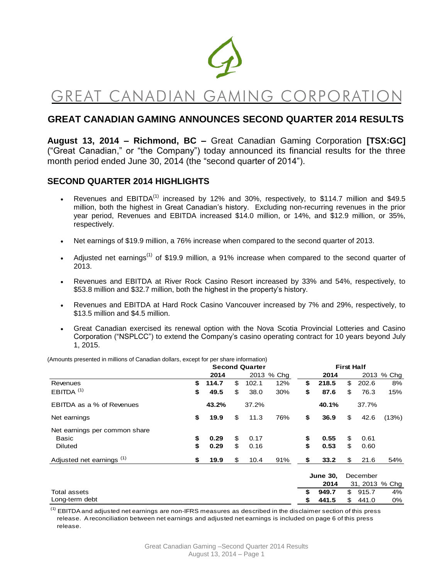

# GREAT CANADIAN GAMING CORPORATIO

# **GREAT CANADIAN GAMING ANNOUNCES SECOND QUARTER 2014 RESULTS**

**August 13, 2014 – Richmond, BC –** Great Canadian Gaming Corporation **[TSX:GC]**  ("Great Canadian," or "the Company") today announced its financial results for the three month period ended June 30, 2014 (the "second quarter of 2014").

# **SECOND QUARTER 2014 HIGHLIGHTS**

- Revenues and EBITDA<sup>(1)</sup> increased by 12% and 30%, respectively, to \$114.7 million and \$49.5 million, both the highest in Great Canadian's history. Excluding non-recurring revenues in the prior year period, Revenues and EBITDA increased \$14.0 million, or 14%, and \$12.9 million, or 35%, respectively.
- Net earnings of \$19.9 million, a 76% increase when compared to the second quarter of 2013.
- Adjusted net earnings<sup>(1)</sup> of \$19.9 million, a 91% increase when compared to the second quarter of 2013.
- Revenues and EBITDA at River Rock Casino Resort increased by 33% and 54%, respectively, to \$53.8 million and \$32.7 million, both the highest in the property's history.
- Revenues and EBITDA at Hard Rock Casino Vancouver increased by 7% and 29%, respectively, to \$13.5 million and \$4.5 million.
- Great Canadian exercised its renewal option with the Nova Scotia Provincial Lotteries and Casino Corporation ("NSPLCC") to extend the Company's casino operating contract for 10 years beyond July 1, 2015.

|                                      | <b>Second Quarter</b> |       |    |       |            |    | <b>First Half</b> |    |          |                |  |  |  |
|--------------------------------------|-----------------------|-------|----|-------|------------|----|-------------------|----|----------|----------------|--|--|--|
|                                      |                       | 2014  |    |       | 2013 % Chg |    | 2014              |    |          | 2013 % Chg     |  |  |  |
| Revenues                             | \$                    | 114.7 | \$ | 102.1 | 12%        | \$ | 218.5             | \$ | 202.6    | 8%             |  |  |  |
| $EBITDA$ <sup>(1)</sup>              | \$                    | 49.5  | \$ | 38.0  | 30%        | \$ | 87.6              | \$ | 76.3     | 15%            |  |  |  |
| EBITDA as a % of Revenues            |                       | 43.2% |    | 37.2% |            |    | 40.1%             |    | 37.7%    |                |  |  |  |
| Net earnings                         | \$                    | 19.9  | \$ | 11.3  | 76%        | \$ | 36.9              | \$ | 42.6     | (13%)          |  |  |  |
| Net earnings per common share        |                       |       |    |       |            |    |                   |    |          |                |  |  |  |
| <b>Basic</b>                         | \$                    | 0.29  | \$ | 0.17  |            | \$ | 0.55              | \$ | 0.61     |                |  |  |  |
| <b>Diluted</b>                       | \$                    | 0.29  | \$ | 0.16  |            | \$ | 0.53              | \$ | 0.60     |                |  |  |  |
| Adjusted net earnings <sup>(1)</sup> | \$                    | 19.9  | \$ | 10.4  | 91%        | \$ | 33.2              | \$ | 21.6     | 54%            |  |  |  |
|                                      |                       |       |    |       |            |    | <b>June 30,</b>   |    | December |                |  |  |  |
|                                      |                       |       |    |       |            |    | 2014              |    |          | 31, 2013 % Chg |  |  |  |
| Total assets                         |                       |       |    |       |            | \$ | 949.7             | \$ | 915.7    | 4%             |  |  |  |
| Long-term debt                       |                       |       |    |       |            | \$ | 441.5             | \$ | 441.0    | 0%             |  |  |  |

(Amounts presented in millions of Canadian dollars, except for per share information)

 $<sup>(1)</sup>$  EBITDA and adjusted net earnings are non-IFRS measures as described in the disclaimer section of this press</sup> release. A reconciliation between net earnings and adjusted net earnings is included on page 6 of this press release.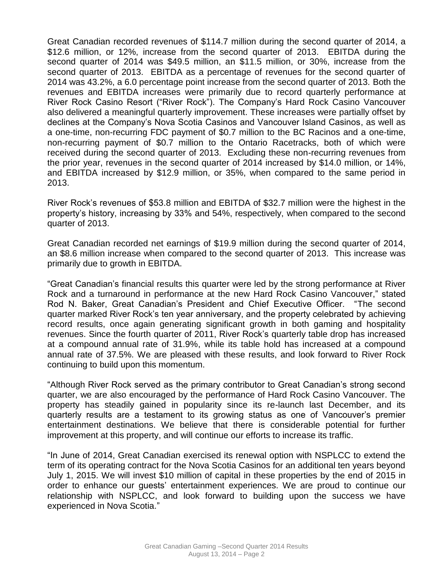Great Canadian recorded revenues of \$114.7 million during the second quarter of 2014, a \$12.6 million, or 12%, increase from the second quarter of 2013. EBITDA during the second quarter of 2014 was \$49.5 million, an \$11.5 million, or 30%, increase from the second quarter of 2013. EBITDA as a percentage of revenues for the second quarter of 2014 was 43.2%, a 6.0 percentage point increase from the second quarter of 2013. Both the revenues and EBITDA increases were primarily due to record quarterly performance at River Rock Casino Resort ("River Rock"). The Company's Hard Rock Casino Vancouver also delivered a meaningful quarterly improvement. These increases were partially offset by declines at the Company's Nova Scotia Casinos and Vancouver Island Casinos, as well as a one-time, non-recurring FDC payment of \$0.7 million to the BC Racinos and a one-time, non-recurring payment of \$0.7 million to the Ontario Racetracks, both of which were received during the second quarter of 2013. Excluding these non-recurring revenues from the prior year, revenues in the second quarter of 2014 increased by \$14.0 million, or 14%, and EBITDA increased by \$12.9 million, or 35%, when compared to the same period in 2013.

River Rock's revenues of \$53.8 million and EBITDA of \$32.7 million were the highest in the property's history, increasing by 33% and 54%, respectively, when compared to the second quarter of 2013.

Great Canadian recorded net earnings of \$19.9 million during the second quarter of 2014, an \$8.6 million increase when compared to the second quarter of 2013. This increase was primarily due to growth in EBITDA.

"Great Canadian's financial results this quarter were led by the strong performance at River Rock and a turnaround in performance at the new Hard Rock Casino Vancouver," stated Rod N. Baker, Great Canadian's President and Chief Executive Officer. "The second quarter marked River Rock's ten year anniversary, and the property celebrated by achieving record results, once again generating significant growth in both gaming and hospitality revenues. Since the fourth quarter of 2011, River Rock's quarterly table drop has increased at a compound annual rate of 31.9%, while its table hold has increased at a compound annual rate of 37.5%. We are pleased with these results, and look forward to River Rock continuing to build upon this momentum.

"Although River Rock served as the primary contributor to Great Canadian's strong second quarter, we are also encouraged by the performance of Hard Rock Casino Vancouver. The property has steadily gained in popularity since its re-launch last December, and its quarterly results are a testament to its growing status as one of Vancouver's premier entertainment destinations. We believe that there is considerable potential for further improvement at this property, and will continue our efforts to increase its traffic.

"In June of 2014, Great Canadian exercised its renewal option with NSPLCC to extend the term of its operating contract for the Nova Scotia Casinos for an additional ten years beyond July 1, 2015. We will invest \$10 million of capital in these properties by the end of 2015 in order to enhance our guests' entertainment experiences. We are proud to continue our relationship with NSPLCC, and look forward to building upon the success we have experienced in Nova Scotia."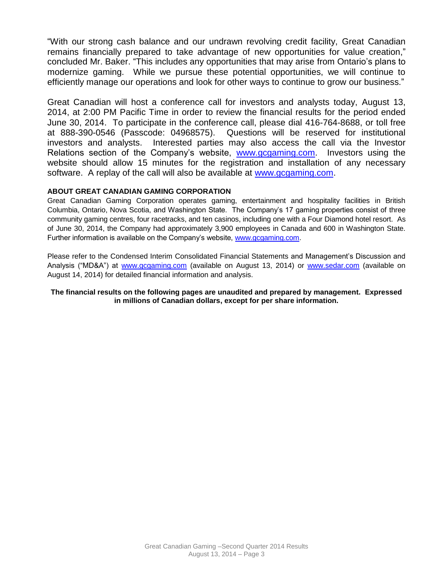"With our strong cash balance and our undrawn revolving credit facility, Great Canadian remains financially prepared to take advantage of new opportunities for value creation," concluded Mr. Baker. "This includes any opportunities that may arise from Ontario's plans to modernize gaming. While we pursue these potential opportunities, we will continue to efficiently manage our operations and look for other ways to continue to grow our business."

Great Canadian will host a conference call for investors and analysts today, August 13, 2014, at 2:00 PM Pacific Time in order to review the financial results for the period ended June 30, 2014. To participate in the conference call, please dial 416-764-8688, or toll free at 888-390-0546 (Passcode: 04968575). Questions will be reserved for institutional investors and analysts. Interested parties may also access the call via the Investor Relations section of the Company's website, [www.gcgaming.com.](http://www.gcgaming.com/) Investors using the website should allow 15 minutes for the registration and installation of any necessary software. A replay of the call will also be available at [www.gcgaming.com.](http://www.gcgaming.com/)

#### **ABOUT GREAT CANADIAN GAMING CORPORATION**

Great Canadian Gaming Corporation operates gaming, entertainment and hospitality facilities in British Columbia, Ontario, Nova Scotia, and Washington State. The Company's 17 gaming properties consist of three community gaming centres, four racetracks, and ten casinos, including one with a Four Diamond hotel resort. As of June 30, 2014, the Company had approximately 3,900 employees in Canada and 600 in Washington State. Further information is available on the Company's website, [www.gcgaming.com.](http://www.gcgaming.com/)

Please refer to the Condensed Interim Consolidated Financial Statements and Management's Discussion and Analysis ("MD&A") at [www.gcgaming.com](http://www.gcgaming.com/) (available on August 13, 2014) or [www.sedar.com](http://www.sedar.com/) (available on August 14, 2014) for detailed financial information and analysis.

#### **The financial results on the following pages are unaudited and prepared by management. Expressed in millions of Canadian dollars, except for per share information.**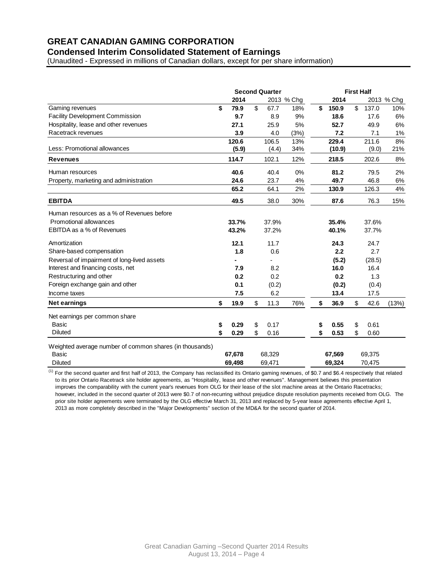# **GREAT CANADIAN GAMING CORPORATION**

## **Condensed Interim Consolidated Statement of Earnings**

(Unaudited - Expressed in millions of Canadian dollars, except for per share information)

|                                                         | <b>Second Quarter</b> |    |        |            |    | <b>First Half</b> |    |        |            |  |  |
|---------------------------------------------------------|-----------------------|----|--------|------------|----|-------------------|----|--------|------------|--|--|
|                                                         | 2014                  |    |        | 2013 % Chg |    | 2014              |    |        | 2013 % Chg |  |  |
| Gaming revenues                                         | \$<br>79.9            | \$ | 67.7   | 18%        | \$ | 150.9             | \$ | 137.0  | 10%        |  |  |
| <b>Facility Development Commission</b>                  | 9.7                   |    | 8.9    | 9%         |    | 18.6              |    | 17.6   | 6%         |  |  |
| Hospitality, lease and other revenues                   | 27.1                  |    | 25.9   | 5%         |    | 52.7              |    | 49.9   | 6%         |  |  |
| Racetrack revenues                                      | 3.9                   |    | 4.0    | (3%)       |    | 7.2               |    | 7.1    | 1%         |  |  |
|                                                         | 120.6                 |    | 106.5  | 13%        |    | 229.4             |    | 211.6  | 8%         |  |  |
| Less: Promotional allowances                            | (5.9)                 |    | (4.4)  | 34%        |    | (10.9)            |    | (9.0)  | 21%        |  |  |
| <b>Revenues</b>                                         | 114.7                 |    | 102.1  | 12%        |    | 218.5             |    | 202.6  | $8%$       |  |  |
| Human resources                                         | 40.6                  |    | 40.4   | 0%         |    | 81.2              |    | 79.5   | 2%         |  |  |
| Property, marketing and administration                  | 24.6                  |    | 23.7   | 4%         |    | 49.7              |    | 46.8   | 6%         |  |  |
|                                                         | 65.2                  |    | 64.1   | 2%         |    | 130.9             |    | 126.3  | 4%         |  |  |
| <b>EBITDA</b>                                           | 49.5                  |    | 38.0   | 30%        |    | 87.6              |    | 76.3   | 15%        |  |  |
| Human resources as a % of Revenues before               |                       |    |        |            |    |                   |    |        |            |  |  |
| Promotional allowances                                  | 33.7%                 |    | 37.9%  |            |    | 35.4%             |    | 37.6%  |            |  |  |
| EBITDA as a % of Revenues                               | 43.2%                 |    | 37.2%  |            |    | 40.1%             |    | 37.7%  |            |  |  |
| Amortization                                            | 12.1                  |    | 11.7   |            |    | 24.3              |    | 24.7   |            |  |  |
| Share-based compensation                                | 1.8                   |    | 0.6    |            |    | 2.2               |    | 2.7    |            |  |  |
| Reversal of impairment of long-lived assets             |                       |    |        |            |    | (5.2)             |    | (28.5) |            |  |  |
| Interest and financing costs, net                       | 7.9                   |    | 8.2    |            |    | 16.0              |    | 16.4   |            |  |  |
| Restructuring and other                                 | 0.2                   |    | 0.2    |            |    | 0.2               |    | 1.3    |            |  |  |
| Foreign exchange gain and other                         | 0.1                   |    | (0.2)  |            |    | (0.2)             |    | (0.4)  |            |  |  |
| Income taxes                                            | 7.5                   |    | 6.2    |            |    | 13.4              |    | 17.5   |            |  |  |
| <b>Net earnings</b>                                     | \$<br>19.9            | \$ | 11.3   | 76%        | \$ | 36.9              | \$ | 42.6   | (13%)      |  |  |
| Net earnings per common share                           |                       |    |        |            |    |                   |    |        |            |  |  |
| <b>Basic</b>                                            | \$<br>0.29            | \$ | 0.17   |            | \$ | 0.55              | \$ | 0.61   |            |  |  |
| <b>Diluted</b>                                          | \$<br>0.29            | \$ | 0.16   |            | \$ | 0.53              | \$ | 0.60   |            |  |  |
| Weighted average number of common shares (in thousands) |                       |    |        |            |    |                   |    |        |            |  |  |
| Basic                                                   | 67,678                |    | 68,329 |            |    | 67,569            |    | 69,375 |            |  |  |
| <b>Diluted</b>                                          | 69,498                |    | 69,471 |            |    | 69.324            |    | 70,475 |            |  |  |

 $^{(1)}$  For the second quarter and first half of 2013, the Company has reclassified its Ontario gaming revenues, of \$0.7 and \$6.4 respectively that related to its prior Ontario Racetrack site holder agreements, as "Hospitality, lease and other revenues". Management believes this presentation improves the comparability with the current year's revenues from OLG for their lease of the slot machine areas at the Ontario Racetracks; however, included in the second quarter of 2013 were \$0.7 of non-recurring without prejudice dispute resolution payments received from OLG. The prior site holder agreements were terminated by the OLG effective March 31, 2013 and replaced by 5-year lease agreements effective April 1, 2013 as more completely described in the "Major Developments" section of the MD&A for the second quarter of 2014.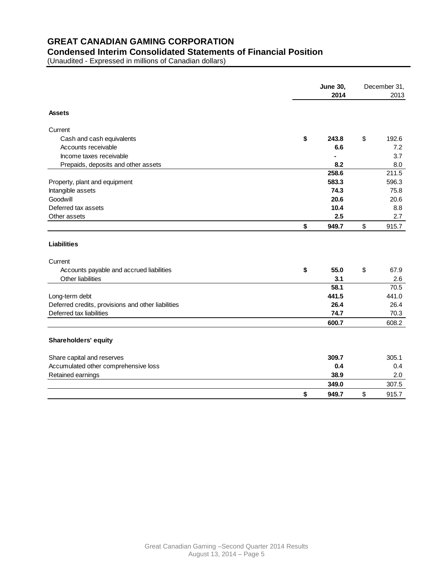# **GREAT CANADIAN GAMING CORPORATION**

# **Condensed Interim Consolidated Statements of Financial Position**

(Unaudited - Expressed in millions of Canadian dollars)

|                                                    | <b>June 30,</b> |    | December 31, |  |
|----------------------------------------------------|-----------------|----|--------------|--|
|                                                    | 2014            |    | 2013         |  |
| <b>Assets</b>                                      |                 |    |              |  |
| Current                                            |                 |    |              |  |
| Cash and cash equivalents                          | \$<br>243.8     | \$ | 192.6        |  |
| Accounts receivable                                | 6.6             |    | 7.2          |  |
| Income taxes receivable                            |                 |    | 3.7          |  |
| Prepaids, deposits and other assets                | 8.2             |    | 8.0          |  |
|                                                    | 258.6           |    | 211.5        |  |
| Property, plant and equipment                      | 583.3           |    | 596.3        |  |
| Intangible assets                                  | 74.3            |    | 75.8         |  |
| Goodwill                                           | 20.6            |    | 20.6         |  |
| Deferred tax assets                                | 10.4            |    | 8.8          |  |
| Other assets                                       | 2.5             |    | 2.7          |  |
|                                                    | \$<br>949.7     | \$ | 915.7        |  |
| <b>Liabilities</b>                                 |                 |    |              |  |
| Current                                            |                 |    |              |  |
| Accounts payable and accrued liabilities           | \$<br>55.0      | \$ | 67.9         |  |
| Other liabilities                                  | 3.1             |    | 2.6          |  |
|                                                    | 58.1            |    | 70.5         |  |
| Long-term debt                                     | 441.5           |    | 441.0        |  |
| Deferred credits, provisions and other liabilities | 26.4            |    | 26.4         |  |
| Deferred tax liabilities                           | 74.7            |    | 70.3         |  |
|                                                    | 600.7           |    | 608.2        |  |
| Shareholders' equity                               |                 |    |              |  |
| Share capital and reserves                         | 309.7           |    | 305.1        |  |
| Accumulated other comprehensive loss               | 0.4             |    | 0.4          |  |
| Retained earnings                                  | 38.9            |    | 2.0          |  |
|                                                    | 349.0           |    | 307.5        |  |
|                                                    | \$<br>949.7     | \$ | 915.7        |  |
|                                                    |                 |    |              |  |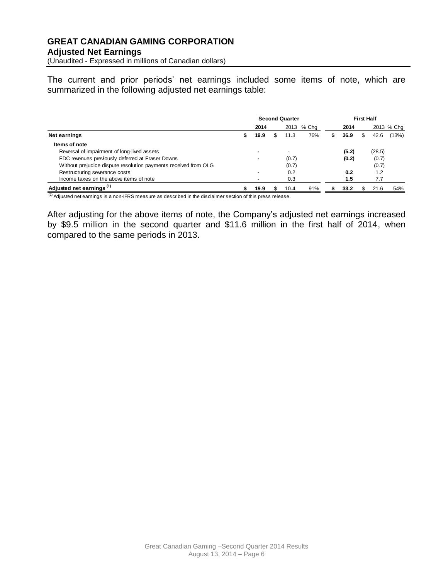(Unaudited - Expressed in millions of Canadian dollars)

The current and prior periods' net earnings included some items of note, which are summarized in the following adjusted net earnings table:

|                                                                 | <b>Second Quarter</b> |      |  |                          |       | <b>First Half</b> |       |  |        |            |
|-----------------------------------------------------------------|-----------------------|------|--|--------------------------|-------|-------------------|-------|--|--------|------------|
|                                                                 |                       | 2014 |  | 2013                     | % Cha |                   | 2014  |  |        | 2013 % Chq |
| Net earnings                                                    |                       | 19.9 |  | 11.3                     | 76%   | S                 | 36.9  |  | 42.6   | (13%)      |
| Items of note                                                   |                       |      |  |                          |       |                   |       |  |        |            |
| Reversal of impairment of long-lived assets                     |                       |      |  | $\overline{\phantom{0}}$ |       |                   | (5.2) |  | (28.5) |            |
| FDC revenues previously deferred at Fraser Downs                |                       |      |  | (0.7)                    |       |                   | (0.2) |  | (0.7)  |            |
| Without prejudice dispute resolution payments received from OLG |                       |      |  | (0.7)                    |       |                   |       |  | (0.7)  |            |
| Restructuring severance costs                                   |                       |      |  | 0.2                      |       |                   | 0.2   |  | 1.2    |            |
| Income taxes on the above items of note                         |                       |      |  | 0.3                      |       |                   | 1.5   |  | 7.7    |            |
| Adjusted net earnings <sup>(1)</sup>                            |                       | 19.9 |  | 10.4                     | 91%   |                   | 33.2  |  | 21.6   | 54%        |

 $<sup>(1)</sup>$  Adjusted net earnings is a non-IFRS measure as described in the disclaimer section of this press release.</sup>

After adjusting for the above items of note, the Company's adjusted net earnings increased by \$9.5 million in the second quarter and \$11.6 million in the first half of 2014, when compared to the same periods in 2013.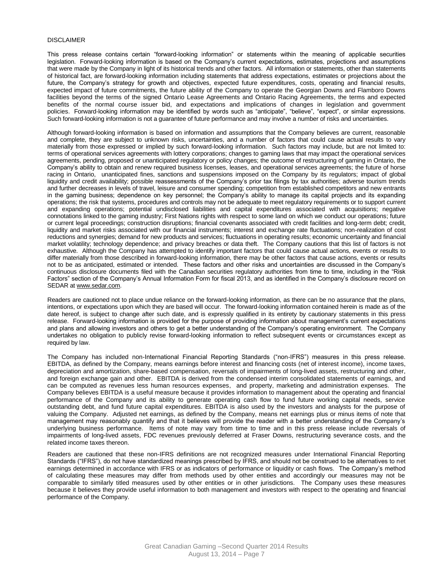#### DISCLAIMER

This press release contains certain "forward-looking information" or statements within the meaning of applicable securities legislation. Forward-looking information is based on the Company's current expectations, estimates, projections and assumptions that were made by the Company in light of its historical trends and other factors. All information or statements, other than statements of historical fact, are forward-looking information including statements that address expectations, estimates or projections about the future, the Company's strategy for growth and objectives, expected future expenditures, costs, operating and financial results, expected impact of future commitments, the future ability of the Company to operate the Georgian Downs and Flamboro Downs facilities beyond the terms of the signed Ontario Lease Agreements and Ontario Racing Agreements, the terms and expected benefits of the normal course issuer bid, and expectations and implications of changes in legislation and government policies. Forward-looking information may be identified by words such as "anticipate", "believe", "expect", or similar expressions. Such forward-looking information is not a guarantee of future performance and may involve a number of risks and uncertainties.

Although forward-looking information is based on information and assumptions that the Company believes are current, reasonable and complete, they are subject to unknown risks, uncertainties, and a number of factors that could cause actual results to vary materially from those expressed or implied by such forward-looking information. Such factors may include, but are not limited to: terms of operational services agreements with lottery corporations; changes to gaming laws that may impact the operational services agreements, pending, proposed or unanticipated regulatory or policy changes; the outcome of restructuring of gaming in Ontario, the Company's ability to obtain and renew required business licenses, leases, and operational services agreements; the future of horse racing in Ontario, unanticipated fines, sanctions and suspensions imposed on the Company by its regulators; impact of global liquidity and credit availability; possible reassessments of the Company's prior tax filings by tax authorities; adverse tourism trends and further decreases in levels of travel, leisure and consumer spending; competition from established competitors and new entrants in the gaming business; dependence on key personnel; the Company's ability to manage its capital projects and its expanding operations; the risk that systems, procedures and controls may not be adequate to meet regulatory requirements or to support current and expanding operations; potential undisclosed liabilities and capital expenditures associated with acquisitions; negative connotations linked to the gaming industry; First Nations rights with respect to some land on which we conduct our operations; future or current legal proceedings; construction disruptions; financial covenants associated with credit facilities and long-term debt; credit, liquidity and market risks associated with our financial instruments; interest and exchange rate fluctuations; non-realization of cost reductions and synergies; demand for new products and services; fluctuations in operating results; economic uncertainty and financial market volatility; technology dependence; and privacy breaches or data theft. The Company cautions that this list of factors is not exhaustive. Although the Company has attempted to identify important factors that could cause actual actions, events or results to differ materially from those described in forward-looking information, there may be other factors that cause actions, events or results not to be as anticipated, estimated or intended. These factors and other risks and uncertainties are discussed in the Company's continuous disclosure documents filed with the Canadian securities regulatory authorities from time to time, including in the "Risk Factors" section of the Company's Annual Information Form for fiscal 2013, and as identified in the Company's disclosure record on SEDAR at [www.sedar.com.](http://www.sedar.com/)

Readers are cautioned not to place undue reliance on the forward-looking information, as there can be no assurance that the plans, intentions, or expectations upon which they are based will occur. The forward-looking information contained herein is made as of the date hereof, is subject to change after such date, and is expressly qualified in its entirety by cautionary statements in this press release. Forward-looking information is provided for the purpose of providing information about management's current expectations and plans and allowing investors and others to get a better understanding of the Company's operating environment. The Company undertakes no obligation to publicly revise forward-looking information to reflect subsequent events or circumstances except as required by law.

The Company has included non-International Financial Reporting Standards ("non-IFRS") measures in this press release. EBITDA, as defined by the Company, means earnings before interest and financing costs (net of interest income), income taxes, depreciation and amortization, share-based compensation, reversals of impairments of long-lived assets, restructuring and other, and foreign exchange gain and other. EBITDA is derived from the condensed interim consolidated statements of earnings, and can be computed as revenues less human resources expenses, and property, marketing and administration expenses. The Company believes EBITDA is a useful measure because it provides information to management about the operating and financial performance of the Company and its ability to generate operating cash flow to fund future working capital needs, service outstanding debt, and fund future capital expenditures. EBITDA is also used by the investors and analysts for the purpose of valuing the Company. Adjusted net earnings, as defined by the Company, means net earnings plus or minus items of note that management may reasonably quantify and that it believes will provide the reader with a better understanding of the Company's underlying business performance. Items of note may vary from time to time and in this press release include reversals of impairments of long-lived assets, FDC revenues previously deferred at Fraser Downs, restructuring severance costs, and the related income taxes thereon.

Readers are cautioned that these non-IFRS definitions are not recognized measures under International Financial Reporting Standards ("IFRS"), do not have standardized meanings prescribed by IFRS, and should not be construed to be alternatives to net earnings determined in accordance with IFRS or as indicators of performance or liquidity or cash flows. The Company's method of calculating these measures may differ from methods used by other entities and accordingly our measures may not be comparable to similarly titled measures used by other entities or in other jurisdictions. The Company uses these measures because it believes they provide useful information to both management and investors with respect to the operating and financial performance of the Company.